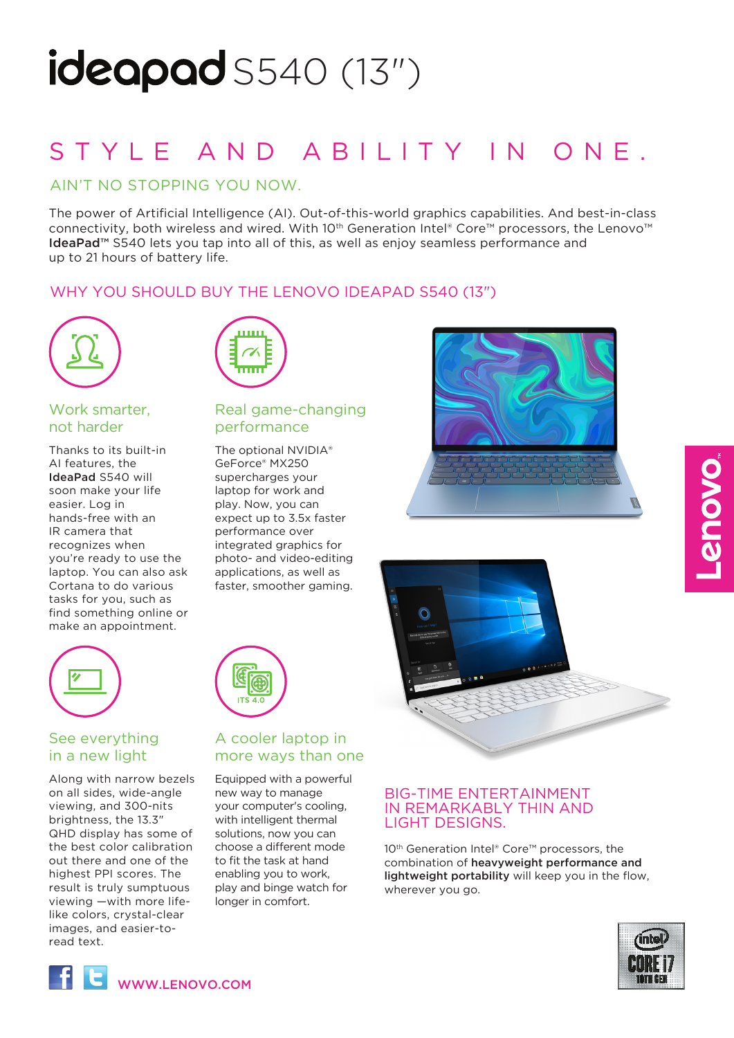# $\mathsf{ideapad}$  S540 (13")

## STYLE AND ABILITY IN ONE.

## AIN'T NO STOPPING YOU NOW.

The power of Artificial Intelligence (AI). Out-of-this-world graphics capabilities. And best-in-class connectivity, both wireless and wired. With 10<sup>th</sup> Generation Intel® Core™ processors, the Lenovo™ IdeaPad<sup>™</sup> S540 lets you tap into all of this, as well as enjoy seamless performance and up to 21 hours of battery life.

## WHY YOU SHOULD BUY THE LENOVO IDEAPAD S540 (13")



## Work smarter, not harder

Thanks to its built-in AI features, the IdeaPad S540 will soon make your life easier. Log in hands-free with an IR camera that recognizes when you're ready to use the laptop. You can also ask Cortana to do various tasks for you, such as find something online or make an appointment.

| шш |  |
|----|--|
|    |  |
| mm |  |
|    |  |

## Real game-changing performance

The optional NVIDIA® GeForce® MX250 supercharges your laptop for work and play. Now, you can expect up to 3.5x faster performance over integrated graphics for photo- and video-editing applications, as well as faster, smoother gaming.





## See everything in a new light

Along with narrow bezels on all sides, wide-angle viewing, and 300-nits brightness, the 13.3" QHD display has some of the best color calibration out there and one of the highest PPI scores. The result is truly sumptuous viewing —with more lifelike colors, crystal-clear images, and easier-toread text.



## A cooler laptop in more ways than one

Equipped with a powerful new way to manage your computer's cooling, with intelligent thermal solutions, now you can choose a different mode to fit the task at hand enabling you to work, play and binge watch for longer in comfort.

## BIG-TIME ENTERTAINMENT IN REMARKABLY THIN AND LIGHT DESIGNS.

10<sup>th</sup> Generation Intel® Core™ processors, the combination of heavyweight performance and lightweight portability will keep you in the flow, wherever you go.